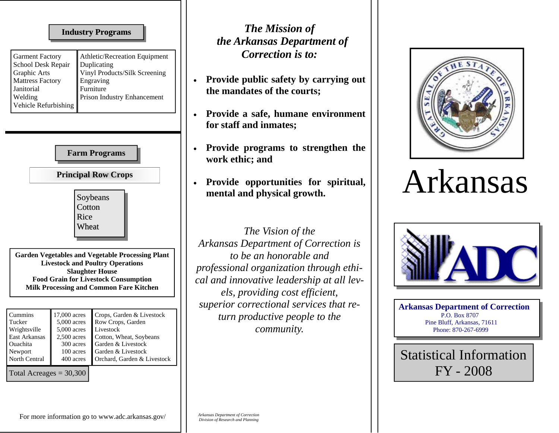## **Industry Programs Industry Programs**

| <b>Garment Factory</b>  | Athletic/Recreation Equipment |
|-------------------------|-------------------------------|
| School Desk Repair      | Duplicating                   |
| <b>Graphic Arts</b>     | Vinyl Products/Silk Screening |
| <b>Mattress Factory</b> | Engraving                     |
| Janitorial              | Furniture                     |
| Welding                 | Prison Industry Enhancement   |
| Vehicle Refurbishing    |                               |

| <b>Farm Programs</b><br><b>Principal Row Crops</b>                                                                             |                                                                                                                                                                                                                                                                      |                                                                                                                                                                   |  |  |  |  |
|--------------------------------------------------------------------------------------------------------------------------------|----------------------------------------------------------------------------------------------------------------------------------------------------------------------------------------------------------------------------------------------------------------------|-------------------------------------------------------------------------------------------------------------------------------------------------------------------|--|--|--|--|
|                                                                                                                                | Soybeans<br>Cotton<br>Rice<br>Wheat<br><b>Garden Vegetables and Vegetable Processing Plant</b><br><b>Livestock and Poultry Operations</b><br><b>Slaughter House</b><br><b>Food Grain for Livestock Consumption</b><br><b>Milk Processing and Common Fare Kitchen</b> |                                                                                                                                                                   |  |  |  |  |
| Cummins<br>Tucker<br>Wrightsville<br>East Arkansas<br>Ouachita<br>Newport<br><b>North Central</b><br>Total Acreages $=$ 30,300 | 17,000 acres<br>5,000 acres<br>5,000 acres<br>$2,500$ acres<br>300 acres<br>100 acres<br>400 acres                                                                                                                                                                   | Crops, Garden & Livestock<br>Row Crops, Garden<br>Livestock<br>Cotton, Wheat, Soybeans<br>Garden & Livestock<br>Garden & Livestock<br>Orchard, Garden & Livestock |  |  |  |  |

## *The Mission of the Arkansas Department of Correction is to:*

- **Provide public safety by carrying out the mandates of the courts;**
- **Provide a safe, humane environment for staff and inmates;**
- **Provide programs to strengthen the work ethic; and**
- **Provide opportunities for spiritual, mental and physical growth.**

*The Vision of the Arkansas Department of Correction is to be an honorable and professional organization through ethical and innovative leadership at all levels, providing cost efficient, superior correctional services that return productive people to the community.* 



## Arkansas



**Arkansas Department of Correction**  P.O. Box 8707 Pine Bluff, Arkansas, 71611 Phone: 870-267-6999

Statistical Information FY - 2008